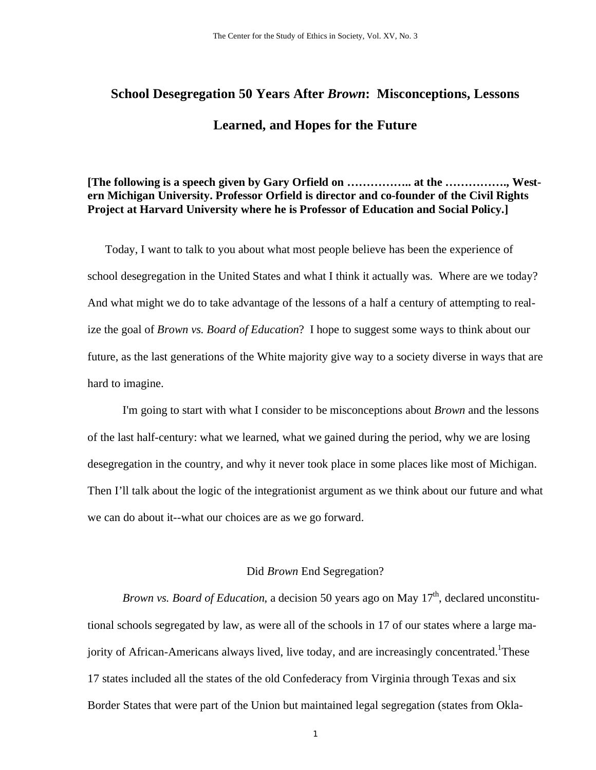# **School Desegregation 50 Years After** *Brown***: Misconceptions, Lessons Learned, and Hopes for the Future**

# **[The following is a speech given by Gary Orfield on …………….. at the ……………., Western Michigan University. Professor Orfield is director and co-founder of the Civil Rights Project at Harvard University where he is Professor of Education and Social Policy.]**

Today, I want to talk to you about what most people believe has been the experience of school desegregation in the United States and what I think it actually was. Where are we today? And what might we do to take advantage of the lessons of a half a century of attempting to realize the goal of *Brown vs. Board of Education*? I hope to suggest some ways to think about our future, as the last generations of the White majority give way to a society diverse in ways that are hard to imagine.

I'm going to start with what I consider to be misconceptions about *Brown* and the lessons of the last half-century: what we learned, what we gained during the period, why we are losing desegregation in the country, and why it never took place in some places like most of Michigan. Then I'll talk about the logic of the integrationist argument as we think about our future and what we can do about it--what our choices are as we go forward.

## Did *Brown* End Segregation?

*Brown vs. Board of Education*, a decision 50 years ago on May 17<sup>th</sup>, declared unconstitutional schools segregated by law, as were all of the schools in 17 of our states where a large majority of African-Americans always lived, live today, and are increasingly concentrated.<sup>1</sup>These 17 states included all the states of the old Confederacy from Virginia through Texas and six Border States that were part of the Union but maintained legal segregation (states from Okla-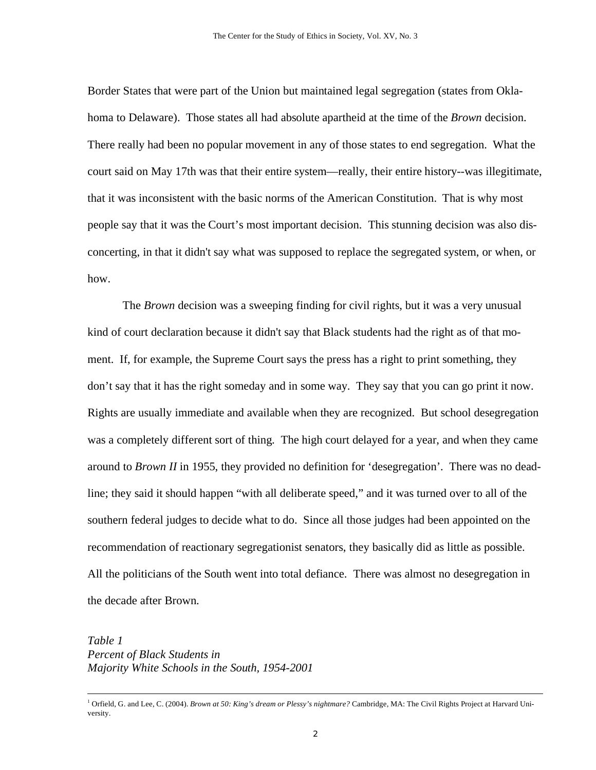Border States that were part of the Union but maintained legal segregation (states from Oklahoma to Delaware). Those states all had absolute apartheid at the time of the *Brown* decision. There really had been no popular movement in any of those states to end segregation. What the court said on May 17th was that their entire system—really, their entire history--was illegitimate, that it was inconsistent with the basic norms of the American Constitution. That is why most people say that it was the Court's most important decision. This stunning decision was also disconcerting, in that it didn't say what was supposed to replace the segregated system, or when, or how.

The *Brown* decision was a sweeping finding for civil rights, but it was a very unusual kind of court declaration because it didn't say that Black students had the right as of that moment. If, for example, the Supreme Court says the press has a right to print something, they don't say that it has the right someday and in some way. They say that you can go print it now. Rights are usually immediate and available when they are recognized. But school desegregation was a completely different sort of thing. The high court delayed for a year, and when they came around to *Brown II* in 1955, they provided no definition for 'desegregation'. There was no deadline; they said it should happen "with all deliberate speed," and it was turned over to all of the southern federal judges to decide what to do. Since all those judges had been appointed on the recommendation of reactionary segregationist senators, they basically did as little as possible. All the politicians of the South went into total defiance. There was almost no desegregation in the decade after Brown.

*Table 1 Percent of Black Students in Majority White Schools in the South, 1954-2001* 

 $\frac{1}{1}$ <sup>1</sup> Orfield, G. and Lee, C. (2004). *Brown at 50: King's dream or Plessy's nightmare?* Cambridge, MA: The Civil Rights Project at Harvard University.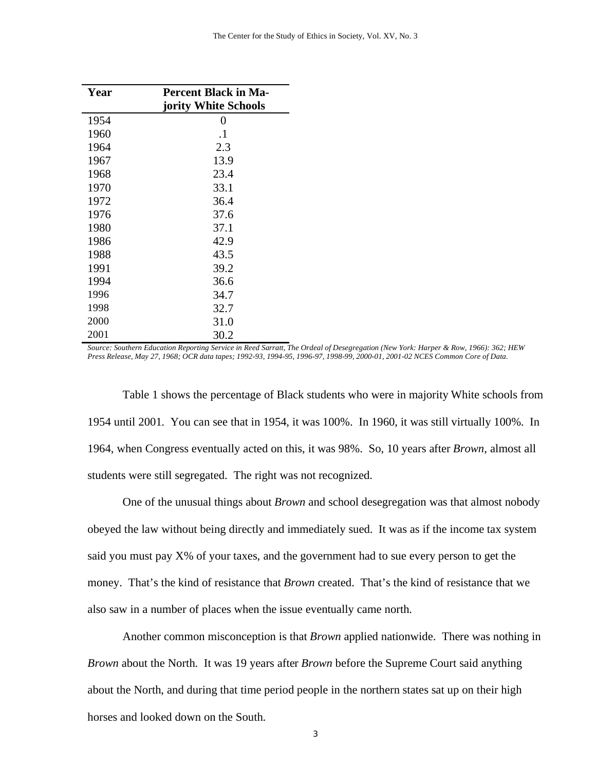| Year | <b>Percent Black in Ma-</b> |  |  |  |  |  |  |  |
|------|-----------------------------|--|--|--|--|--|--|--|
|      | jority White Schools        |  |  |  |  |  |  |  |
| 1954 | $\theta$                    |  |  |  |  |  |  |  |
| 1960 | $\cdot$ 1                   |  |  |  |  |  |  |  |
| 1964 | 2.3                         |  |  |  |  |  |  |  |
| 1967 | 13.9                        |  |  |  |  |  |  |  |
| 1968 | 23.4                        |  |  |  |  |  |  |  |
| 1970 | 33.1                        |  |  |  |  |  |  |  |
| 1972 | 36.4                        |  |  |  |  |  |  |  |
| 1976 | 37.6                        |  |  |  |  |  |  |  |
| 1980 | 37.1                        |  |  |  |  |  |  |  |
| 1986 | 42.9                        |  |  |  |  |  |  |  |
| 1988 | 43.5                        |  |  |  |  |  |  |  |
| 1991 | 39.2                        |  |  |  |  |  |  |  |
| 1994 | 36.6                        |  |  |  |  |  |  |  |
| 1996 | 34.7                        |  |  |  |  |  |  |  |
| 1998 | 32.7                        |  |  |  |  |  |  |  |
| 2000 | 31.0                        |  |  |  |  |  |  |  |
| 2001 | 30.2                        |  |  |  |  |  |  |  |

*Source: Southern Education Reporting Service in Reed Sarratt, The Ordeal of Desegregation (New York: Harper & Row, 1966): 362; HEW Press Release, May 27, 1968; OCR data tapes; 1992-93, 1994-95, 1996-97, 1998-99, 2000-01, 2001-02 NCES Common Core of Data.*

Table 1 shows the percentage of Black students who were in majority White schools from 1954 until 2001. You can see that in 1954, it was 100%. In 1960, it was still virtually 100%. In 1964, when Congress eventually acted on this, it was 98%. So, 10 years after *Brown*, almost all students were still segregated. The right was not recognized.

One of the unusual things about *Brown* and school desegregation was that almost nobody obeyed the law without being directly and immediately sued. It was as if the income tax system said you must pay X% of your taxes, and the government had to sue every person to get the money. That's the kind of resistance that *Brown* created. That's the kind of resistance that we also saw in a number of places when the issue eventually came north.

Another common misconception is that *Brown* applied nationwide. There was nothing in *Brown* about the North. It was 19 years after *Brown* before the Supreme Court said anything about the North, and during that time period people in the northern states sat up on their high horses and looked down on the South.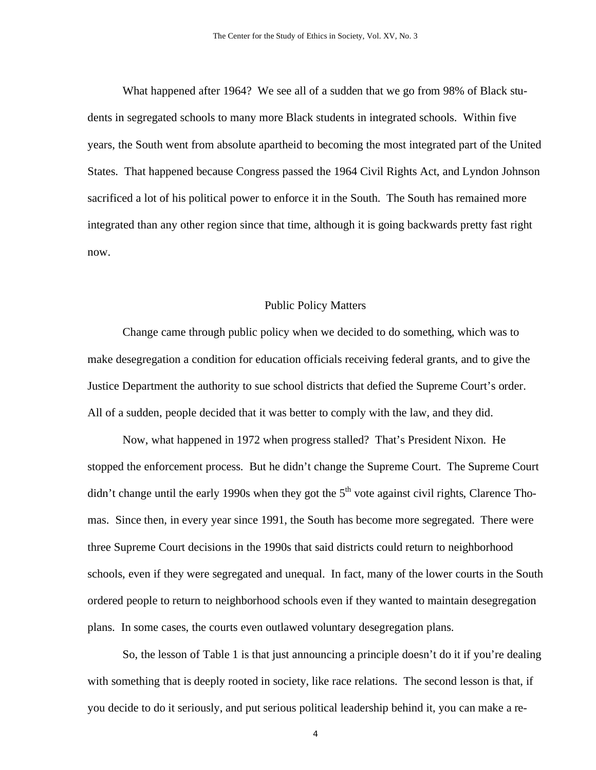What happened after 1964? We see all of a sudden that we go from 98% of Black students in segregated schools to many more Black students in integrated schools. Within five years, the South went from absolute apartheid to becoming the most integrated part of the United States. That happened because Congress passed the 1964 Civil Rights Act, and Lyndon Johnson sacrificed a lot of his political power to enforce it in the South. The South has remained more integrated than any other region since that time, although it is going backwards pretty fast right now.

#### Public Policy Matters

Change came through public policy when we decided to do something, which was to make desegregation a condition for education officials receiving federal grants, and to give the Justice Department the authority to sue school districts that defied the Supreme Court's order. All of a sudden, people decided that it was better to comply with the law, and they did.

Now, what happened in 1972 when progress stalled? That's President Nixon. He stopped the enforcement process. But he didn't change the Supreme Court. The Supreme Court didn't change until the early 1990s when they got the  $5<sup>th</sup>$  vote against civil rights, Clarence Thomas. Since then, in every year since 1991, the South has become more segregated. There were three Supreme Court decisions in the 1990s that said districts could return to neighborhood schools, even if they were segregated and unequal. In fact, many of the lower courts in the South ordered people to return to neighborhood schools even if they wanted to maintain desegregation plans. In some cases, the courts even outlawed voluntary desegregation plans.

So, the lesson of Table 1 is that just announcing a principle doesn't do it if you're dealing with something that is deeply rooted in society, like race relations. The second lesson is that, if you decide to do it seriously, and put serious political leadership behind it, you can make a re-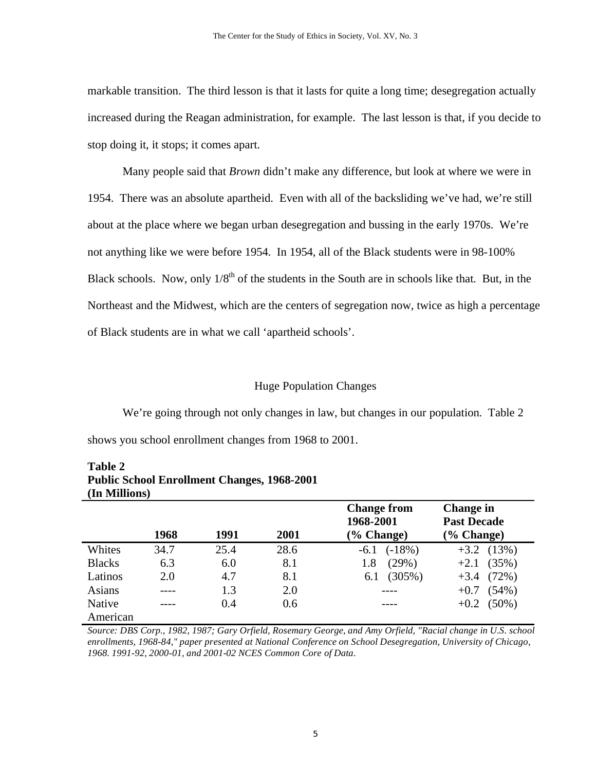markable transition. The third lesson is that it lasts for quite a long time; desegregation actually increased during the Reagan administration, for example. The last lesson is that, if you decide to stop doing it, it stops; it comes apart.

Many people said that *Brown* didn't make any difference, but look at where we were in 1954. There was an absolute apartheid. Even with all of the backsliding we've had, we're still about at the place where we began urban desegregation and bussing in the early 1970s. We're not anything like we were before 1954. In 1954, all of the Black students were in 98-100% Black schools. Now, only  $1/8^{th}$  of the students in the South are in schools like that. But, in the Northeast and the Midwest, which are the centers of segregation now, twice as high a percentage of Black students are in what we call 'apartheid schools'.

#### Huge Population Changes

We're going through not only changes in law, but changes in our population. Table 2 shows you school enrollment changes from 1968 to 2001.

| (In Millions) |      |      |      |                                                  |                                                         |  |  |  |  |  |  |
|---------------|------|------|------|--------------------------------------------------|---------------------------------------------------------|--|--|--|--|--|--|
|               | 1968 | 1991 | 2001 | <b>Change from</b><br>1968-2001<br>$(\%$ Change) | <b>Change in</b><br><b>Past Decade</b><br>$(\%$ Change) |  |  |  |  |  |  |
| Whites        | 34.7 | 25.4 | 28.6 | $(-18%)$<br>$-6.1$                               | $+3.2$ (13%)                                            |  |  |  |  |  |  |
| <b>Blacks</b> | 6.3  | 6.0  | 8.1  | 1.8<br>(29%)                                     | $+2.1$ (35%)                                            |  |  |  |  |  |  |
| Latinos       | 2.0  | 4.7  | 8.1  | $(305\%)$<br>6.1                                 | (72%)<br>$+3.4$                                         |  |  |  |  |  |  |
| Asians        |      | 1.3  | 2.0  |                                                  | $(54\%)$<br>$+0.7$                                      |  |  |  |  |  |  |
| Native        | ---- | 0.4  | 0.6  |                                                  | $+0.2$ (50%)                                            |  |  |  |  |  |  |
| American      |      |      |      |                                                  |                                                         |  |  |  |  |  |  |

**Table 2 Public School Enrollment Changes, 1968-2001 (In Millions)** 

*Source: DBS Corp., 1982, 1987; Gary Orfield, Rosemary George, and Amy Orfield, "Racial change in U.S. school enrollments, 1968-84," paper presented at National Conference on School Desegregation, University of Chicago, 1968. 1991-92, 2000-01, and 2001-02 NCES Common Core of Data.*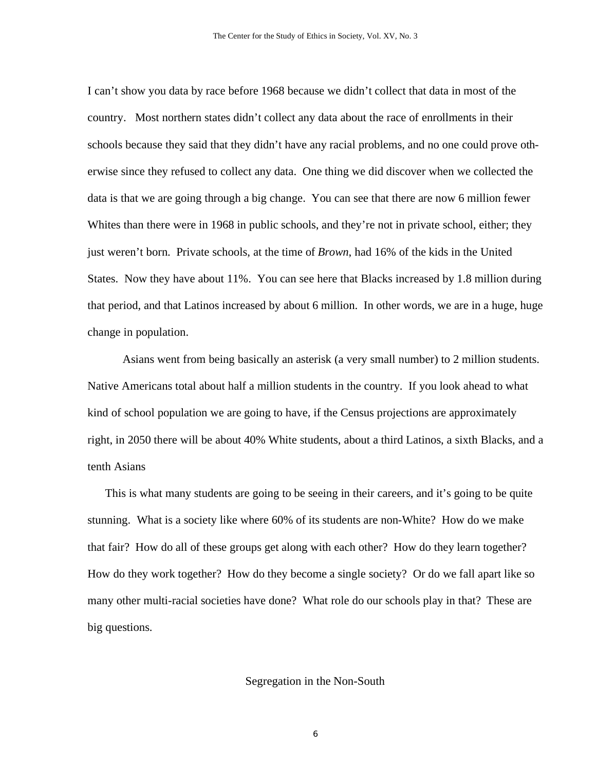I can't show you data by race before 1968 because we didn't collect that data in most of the country. Most northern states didn't collect any data about the race of enrollments in their schools because they said that they didn't have any racial problems, and no one could prove otherwise since they refused to collect any data. One thing we did discover when we collected the data is that we are going through a big change. You can see that there are now 6 million fewer Whites than there were in 1968 in public schools, and they're not in private school, either; they just weren't born. Private schools, at the time of *Brown*, had 16% of the kids in the United States. Now they have about 11%. You can see here that Blacks increased by 1.8 million during that period, and that Latinos increased by about 6 million. In other words, we are in a huge, huge change in population.

Asians went from being basically an asterisk (a very small number) to 2 million students. Native Americans total about half a million students in the country. If you look ahead to what kind of school population we are going to have, if the Census projections are approximately right, in 2050 there will be about 40% White students, about a third Latinos, a sixth Blacks, and a tenth Asians

This is what many students are going to be seeing in their careers, and it's going to be quite stunning. What is a society like where 60% of its students are non-White? How do we make that fair? How do all of these groups get along with each other? How do they learn together? How do they work together? How do they become a single society? Or do we fall apart like so many other multi-racial societies have done? What role do our schools play in that? These are big questions.

#### Segregation in the Non-South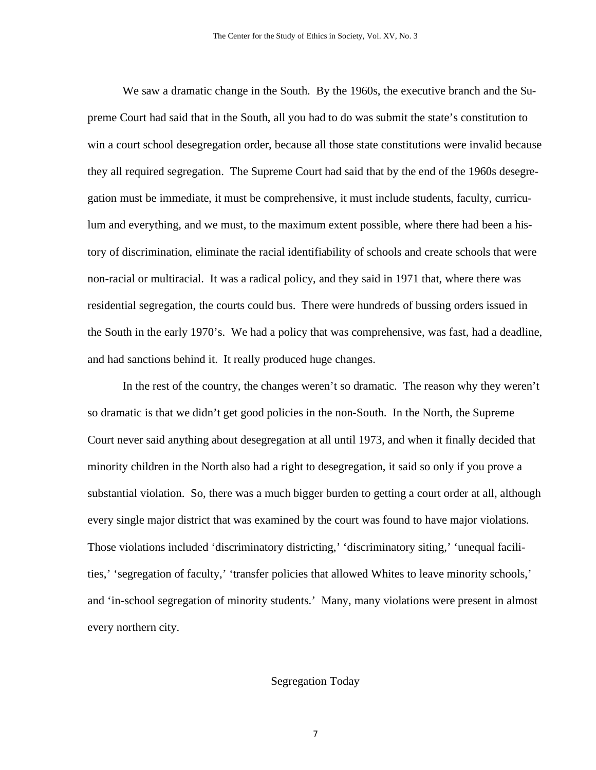We saw a dramatic change in the South. By the 1960s, the executive branch and the Supreme Court had said that in the South, all you had to do was submit the state's constitution to win a court school desegregation order, because all those state constitutions were invalid because they all required segregation. The Supreme Court had said that by the end of the 1960s desegregation must be immediate, it must be comprehensive, it must include students, faculty, curriculum and everything, and we must, to the maximum extent possible, where there had been a history of discrimination, eliminate the racial identifiability of schools and create schools that were non-racial or multiracial. It was a radical policy, and they said in 1971 that, where there was residential segregation, the courts could bus. There were hundreds of bussing orders issued in the South in the early 1970's. We had a policy that was comprehensive, was fast, had a deadline, and had sanctions behind it. It really produced huge changes.

In the rest of the country, the changes weren't so dramatic. The reason why they weren't so dramatic is that we didn't get good policies in the non-South. In the North, the Supreme Court never said anything about desegregation at all until 1973, and when it finally decided that minority children in the North also had a right to desegregation, it said so only if you prove a substantial violation. So, there was a much bigger burden to getting a court order at all, although every single major district that was examined by the court was found to have major violations. Those violations included 'discriminatory districting,' 'discriminatory siting,' 'unequal facilities,' 'segregation of faculty,' 'transfer policies that allowed Whites to leave minority schools,' and 'in-school segregation of minority students.' Many, many violations were present in almost every northern city.

## Segregation Today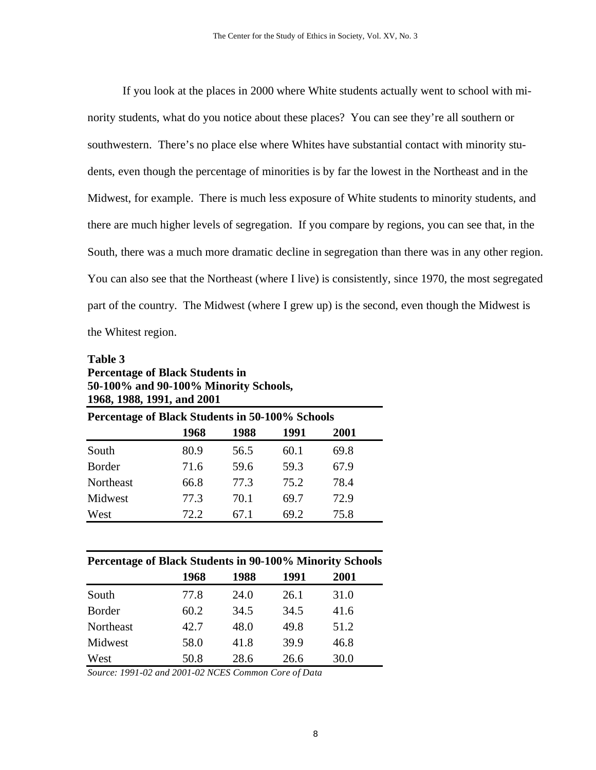If you look at the places in 2000 where White students actually went to school with minority students, what do you notice about these places? You can see they're all southern or southwestern. There's no place else where Whites have substantial contact with minority students, even though the percentage of minorities is by far the lowest in the Northeast and in the Midwest, for example. There is much less exposure of White students to minority students, and there are much higher levels of segregation. If you compare by regions, you can see that, in the South, there was a much more dramatic decline in segregation than there was in any other region. You can also see that the Northeast (where I live) is consistently, since 1970, the most segregated part of the country. The Midwest (where I grew up) is the second, even though the Midwest is the Whitest region.

# **Table 3 Percentage of Black Students in 50-100% and 90-100% Minority Schools, 1968, 1988, 1991, and 2001**

| Percentage of Black Students in 50-100% Schools |      |      |      |      |  |  |  |  |  |  |
|-------------------------------------------------|------|------|------|------|--|--|--|--|--|--|
|                                                 | 1968 | 1988 | 1991 | 2001 |  |  |  |  |  |  |
| South                                           | 80.9 | 56.5 | 60.1 | 69.8 |  |  |  |  |  |  |
| <b>Border</b>                                   | 71.6 | 59.6 | 59.3 | 67.9 |  |  |  |  |  |  |
| Northeast                                       | 66.8 | 77.3 | 75.2 | 78.4 |  |  |  |  |  |  |
| Midwest                                         | 77.3 | 70.1 | 69.7 | 72.9 |  |  |  |  |  |  |
| West                                            | 72.2 | 67.1 | 69.2 | 75.8 |  |  |  |  |  |  |

| <b>Percentage of Black Students in 90-100% Minority Schools</b> |      |      |      |      |  |  |  |  |  |  |
|-----------------------------------------------------------------|------|------|------|------|--|--|--|--|--|--|
|                                                                 | 1968 | 1988 | 1991 | 2001 |  |  |  |  |  |  |
| South                                                           | 77.8 | 24.0 | 26.1 | 31.0 |  |  |  |  |  |  |
| <b>Border</b>                                                   | 60.2 | 34.5 | 34.5 | 41.6 |  |  |  |  |  |  |
| Northeast                                                       | 42.7 | 48.0 | 49.8 | 51.2 |  |  |  |  |  |  |
| Midwest                                                         | 58.0 | 41.8 | 39.9 | 46.8 |  |  |  |  |  |  |
| West                                                            | 50.8 | 28.6 | 26.6 | 30.0 |  |  |  |  |  |  |

*Source: 1991-02 and 2001-02 NCES Common Core of Data*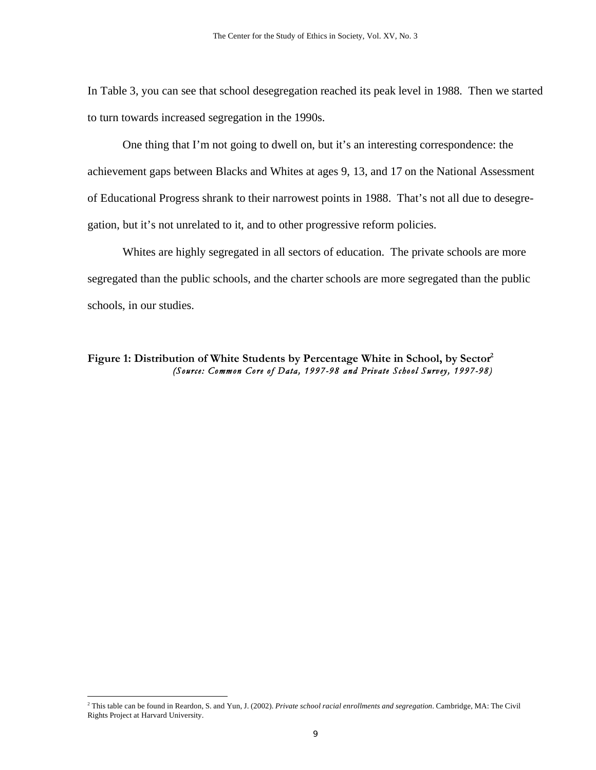In Table 3, you can see that school desegregation reached its peak level in 1988. Then we started to turn towards increased segregation in the 1990s.

One thing that I'm not going to dwell on, but it's an interesting correspondence: the achievement gaps between Blacks and Whites at ages 9, 13, and 17 on the National Assessment of Educational Progress shrank to their narrowest points in 1988. That's not all due to desegregation, but it's not unrelated to it, and to other progressive reform policies.

Whites are highly segregated in all sectors of education. The private schools are more segregated than the public schools, and the charter schools are more segregated than the public schools, in our studies.

#### Figure 1: Distribution of White Students by Percentage White in School, by Sector<sup>2</sup> *(Source: Common Core of Data , 1997-98 and Private School Survey, 1997-98)*

 2 This table can be found in Reardon, S. and Yun, J. (2002). *Private school racial enrollments and segregation*. Cambridge, MA: The Civil Rights Project at Harvard University.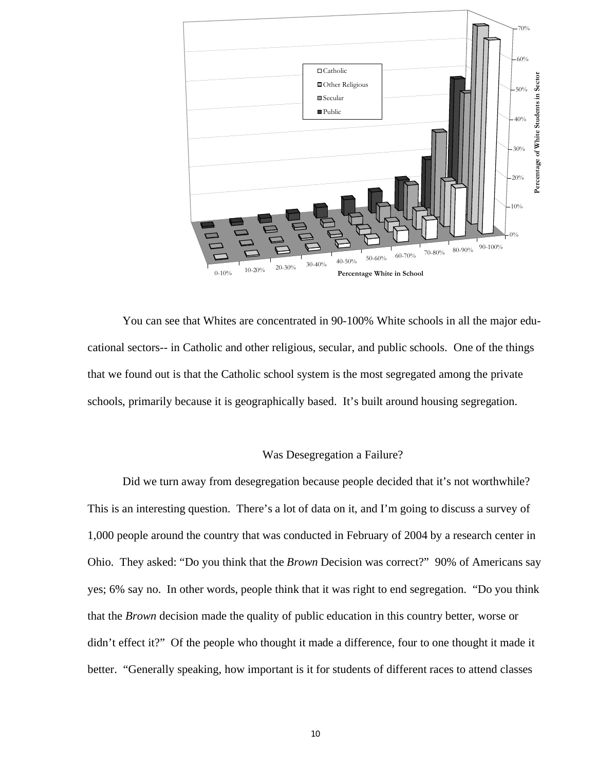

You can see that Whites are concentrated in 90-100% White schools in all the major educational sectors-- in Catholic and other religious, secular, and public schools. One of the things that we found out is that the Catholic school system is the most segregated among the private schools, primarily because it is geographically based. It's built around housing segregation.

#### Was Desegregation a Failure?

Did we turn away from desegregation because people decided that it's not worthwhile? This is an interesting question. There's a lot of data on it, and I'm going to discuss a survey of 1,000 people around the country that was conducted in February of 2004 by a research center in Ohio. They asked: "Do you think that the *Brown* Decision was correct?" 90% of Americans say yes; 6% say no. In other words, people think that it was right to end segregation. "Do you think that the *Brown* decision made the quality of public education in this country better, worse or didn't effect it?" Of the people who thought it made a difference, four to one thought it made it better. "Generally speaking, how important is it for students of different races to attend classes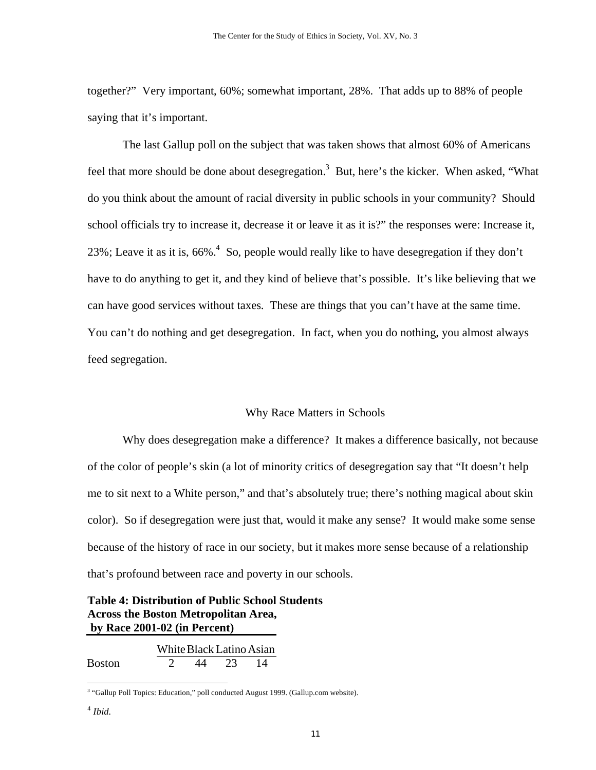together?" Very important, 60%; somewhat important, 28%. That adds up to 88% of people saying that it's important.

The last Gallup poll on the subject that was taken shows that almost 60% of Americans feel that more should be done about desegregation.<sup>3</sup> But, here's the kicker. When asked, "What do you think about the amount of racial diversity in public schools in your community? Should school officials try to increase it, decrease it or leave it as it is?" the responses were: Increase it, 23%; Leave it as it is, 66%.<sup>4</sup> So, people would really like to have desegregation if they don't have to do anything to get it, and they kind of believe that's possible. It's like believing that we can have good services without taxes. These are things that you can't have at the same time. You can't do nothing and get desegregation. In fact, when you do nothing, you almost always feed segregation.

## Why Race Matters in Schools

Why does desegregation make a difference? It makes a difference basically, not because of the color of people's skin (a lot of minority critics of desegregation say that "It doesn't help me to sit next to a White person," and that's absolutely true; there's nothing magical about skin color). So if desegregation were just that, would it make any sense? It would make some sense because of the history of race in our society, but it makes more sense because of a relationship that's profound between race and poverty in our schools.

# **Table 4: Distribution of Public School Students Across the Boston Metropolitan Area, by Race 2001-02 (in Percent)**

|               | White Black Latino Asian |        |  |
|---------------|--------------------------|--------|--|
| <b>Boston</b> | 44                       | $23 -$ |  |

<sup>&</sup>lt;sup>3</sup> "Gallup Poll Topics: Education," poll conducted August 1999. (Gallup.com website).

 $\overline{a}$ 

<sup>4</sup> *Ibid.*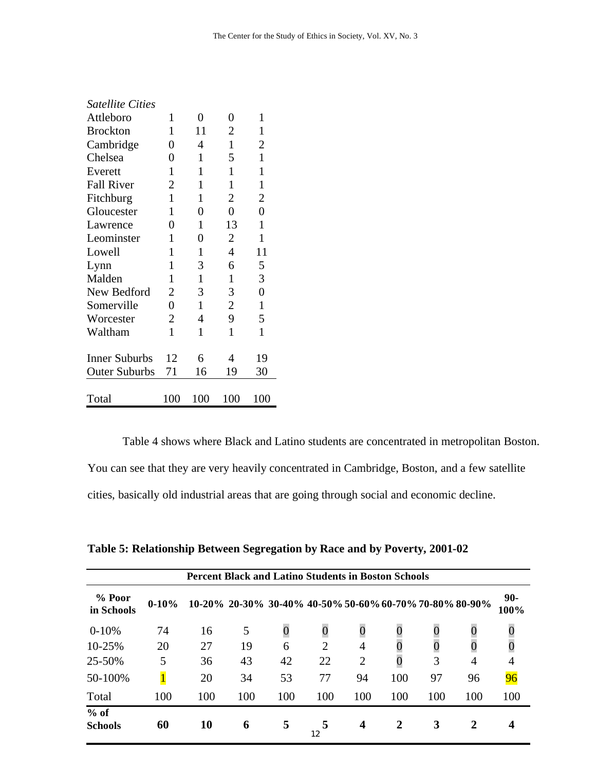| <b>Satellite Cities</b> |                |              |                |                |
|-------------------------|----------------|--------------|----------------|----------------|
| Attleboro               | 1              | 0            | 0              | $\mathbf{1}$   |
| <b>Brockton</b>         | 1              | 11           | 2              | 1              |
| Cambridge               | 0              | 4            | 1              | 2              |
| Chelsea                 | 0              | 1            | 5              | 1              |
| Everett                 | $\mathbf{1}$   | $\mathbf{1}$ | 1              | $\mathbf{1}$   |
| <b>Fall River</b>       | 2              | 1            | $\mathbf{1}$   | $\mathbf{1}$   |
| Fitchburg               | 1              | 1            | 2              | $\overline{2}$ |
| Gloucester              | 1              | 0            | 0              | $\overline{0}$ |
| Lawrence                | 0              | $\mathbf{1}$ | 13             | $\mathbf{1}$   |
| Leominster              | $\mathbf{1}$   | 0            | 2              | 1              |
| Lowell                  | 1              | 1            | 4              | 11             |
| Lynn                    | 1              | 3            | 6              | 5              |
| Malden                  | 1              | $\mathbf{1}$ | $\mathbf{1}$   | 3              |
| New Bedford             | 2              | 3            | 3              | $\overline{0}$ |
| Somerville              | $\overline{0}$ | 1            | $\overline{2}$ | $\mathbf{1}$   |
| Worcester               | $\overline{2}$ | 4            | 9              | 5              |
| Waltham                 | $\mathbf{1}$   | $\mathbf{1}$ | $\mathbf{1}$   | $\mathbf{1}$   |
| <b>Inner Suburbs</b>    | 12             | 6            | 4              | 19             |
| <b>Outer Suburbs</b>    | 71             | 16           | 19             | 30             |
|                         |                |              |                |                |
| Total                   | 100            | 100          | 100            | 100            |

Table 4 shows where Black and Latino students are concentrated in metropolitan Boston. You can see that they are very heavily concentrated in Cambridge, Boston, and a few satellite cities, basically old industrial areas that are going through social and economic decline.

| <b>Percent Black and Latino Students in Boston Schools</b> |           |     |                                                         |          |     |                |                  |                  |     |                 |
|------------------------------------------------------------|-----------|-----|---------------------------------------------------------|----------|-----|----------------|------------------|------------------|-----|-----------------|
| $%$ Poor<br>in Schools                                     | $0 - 10%$ |     | 10-20% 20-30% 30-40% 40-50% 50-60% 60-70% 70-80% 80-90% |          |     |                |                  |                  |     | $90 -$<br>100%  |
| $0-10%$                                                    | 74        | 16  | 5                                                       | $\theta$ | 0   | $\overline{0}$ | $\boldsymbol{0}$ | $\boldsymbol{0}$ |     | U               |
| 10-25%                                                     | 20        | 27  | 19                                                      | 6        | 2   | 4              |                  |                  |     |                 |
| 25-50%                                                     | 5         | 36  | 43                                                      | 42       | 22  | $\overline{2}$ | $\overline{0}$   | 3                | 4   | 4               |
| 50-100%                                                    |           | 20  | 34                                                      | 53       | 77  | 94             | 100              | 97               | 96  | $\overline{96}$ |
| Total                                                      | 100       | 100 | 100                                                     | 100      | 100 | 100            | 100              | 100              | 100 | 100             |
| $%$ of<br><b>Schools</b>                                   | 60        | 10  | 6                                                       | 5        | 12  | 4              | $\mathbf 2$      | 3                | 2   | 4               |

|  | Table 5: Relationship Between Segregation by Race and by Poverty, 2001-02 |  |  |  |  |  |  |
|--|---------------------------------------------------------------------------|--|--|--|--|--|--|
|  |                                                                           |  |  |  |  |  |  |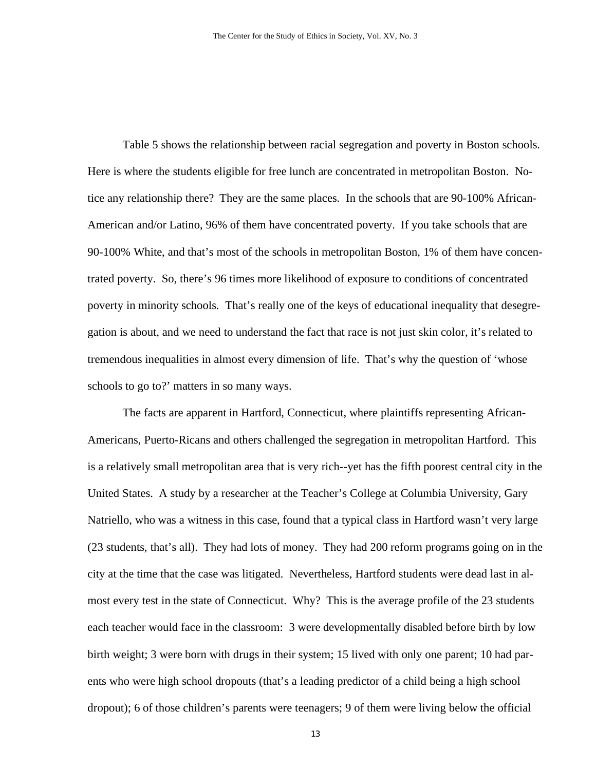Table 5 shows the relationship between racial segregation and poverty in Boston schools. Here is where the students eligible for free lunch are concentrated in metropolitan Boston. Notice any relationship there? They are the same places. In the schools that are 90-100% African-American and/or Latino, 96% of them have concentrated poverty. If you take schools that are 90-100% White, and that's most of the schools in metropolitan Boston, 1% of them have concentrated poverty. So, there's 96 times more likelihood of exposure to conditions of concentrated poverty in minority schools. That's really one of the keys of educational inequality that desegregation is about, and we need to understand the fact that race is not just skin color, it's related to tremendous inequalities in almost every dimension of life. That's why the question of 'whose schools to go to?' matters in so many ways.

The facts are apparent in Hartford, Connecticut, where plaintiffs representing African-Americans, Puerto-Ricans and others challenged the segregation in metropolitan Hartford. This is a relatively small metropolitan area that is very rich--yet has the fifth poorest central city in the United States. A study by a researcher at the Teacher's College at Columbia University, Gary Natriello, who was a witness in this case, found that a typical class in Hartford wasn't very large (23 students, that's all). They had lots of money. They had 200 reform programs going on in the city at the time that the case was litigated. Nevertheless, Hartford students were dead last in almost every test in the state of Connecticut. Why? This is the average profile of the 23 students each teacher would face in the classroom: 3 were developmentally disabled before birth by low birth weight; 3 were born with drugs in their system; 15 lived with only one parent; 10 had parents who were high school dropouts (that's a leading predictor of a child being a high school dropout); 6 of those children's parents were teenagers; 9 of them were living below the official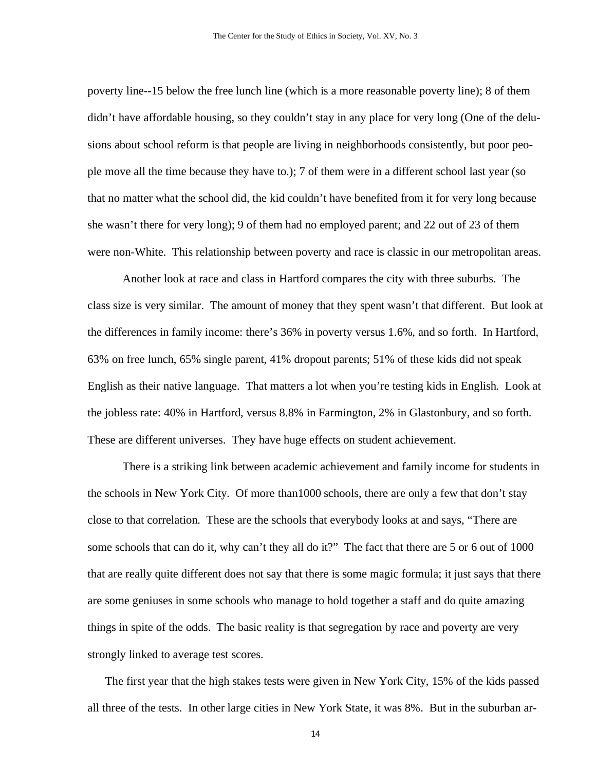poverty line--15 below the free lunch line (which is a more reasonable poverty line); 8 of them didn't have affordable housing, so they couldn't stay in any place for very long (One of the delusions about school reform is that people are living in neighborhoods consistently, but poor people move all the time because they have to.); 7 of them were in a different school last year (so that no matter what the school did, the kid couldn't have benefited from it for very long because she wasn't there for very long); 9 of them had no employed parent; and 22 out of 23 of them were non-White. This relationship between poverty and race is classic in our metropolitan areas.

Another look at race and class in Hartford compares the city with three suburbs. The class size is very similar. The amount of money that they spent wasn't that different. But look at the differences in family income: there's 36% in poverty versus 1.6%, and so forth. In Hartford, 63% on free lunch, 65% single parent, 41% dropout parents; 51% of these kids did not speak English as their native language. That matters a lot when you're testing kids in English. Look at the jobless rate: 40% in Hartford, versus 8.8% in Farmington, 2% in Glastonbury, and so forth. These are different universes. They have huge effects on student achievement.

There is a striking link between academic achievement and family income for students in the schools in New York City. Of more than1000 schools, there are only a few that don't stay close to that correlation. These are the schools that everybody looks at and says, "There are some schools that can do it, why can't they all do it?" The fact that there are 5 or 6 out of 1000 that are really quite different does not say that there is some magic formula; it just says that there are some geniuses in some schools who manage to hold together a staff and do quite amazing things in spite of the odds. The basic reality is that segregation by race and poverty are very strongly linked to average test scores.

The first year that the high stakes tests were given in New York City, 15% of the kids passed all three of the tests. In other large cities in New York State, it was 8%. But in the suburban ar-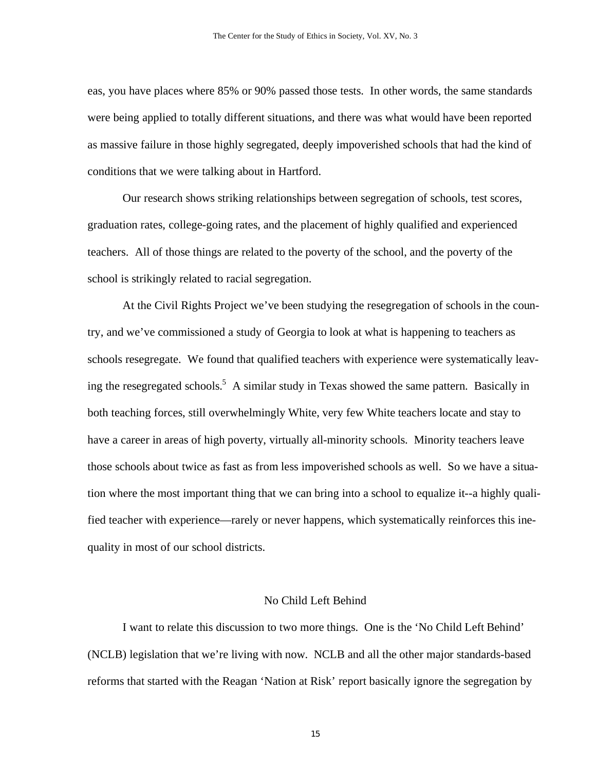eas, you have places where 85% or 90% passed those tests. In other words, the same standards were being applied to totally different situations, and there was what would have been reported as massive failure in those highly segregated, deeply impoverished schools that had the kind of conditions that we were talking about in Hartford.

Our research shows striking relationships between segregation of schools, test scores, graduation rates, college-going rates, and the placement of highly qualified and experienced teachers. All of those things are related to the poverty of the school, and the poverty of the school is strikingly related to racial segregation.

At the Civil Rights Project we've been studying the resegregation of schools in the country, and we've commissioned a study of Georgia to look at what is happening to teachers as schools resegregate. We found that qualified teachers with experience were systematically leaving the resegregated schools.<sup>5</sup> A similar study in Texas showed the same pattern. Basically in both teaching forces, still overwhelmingly White, very few White teachers locate and stay to have a career in areas of high poverty, virtually all-minority schools. Minority teachers leave those schools about twice as fast as from less impoverished schools as well. So we have a situation where the most important thing that we can bring into a school to equalize it--a highly qualified teacher with experience—rarely or never happens, which systematically reinforces this inequality in most of our school districts.

## No Child Left Behind

I want to relate this discussion to two more things. One is the 'No Child Left Behind' (NCLB) legislation that we're living with now. NCLB and all the other major standards-based reforms that started with the Reagan 'Nation at Risk' report basically ignore the segregation by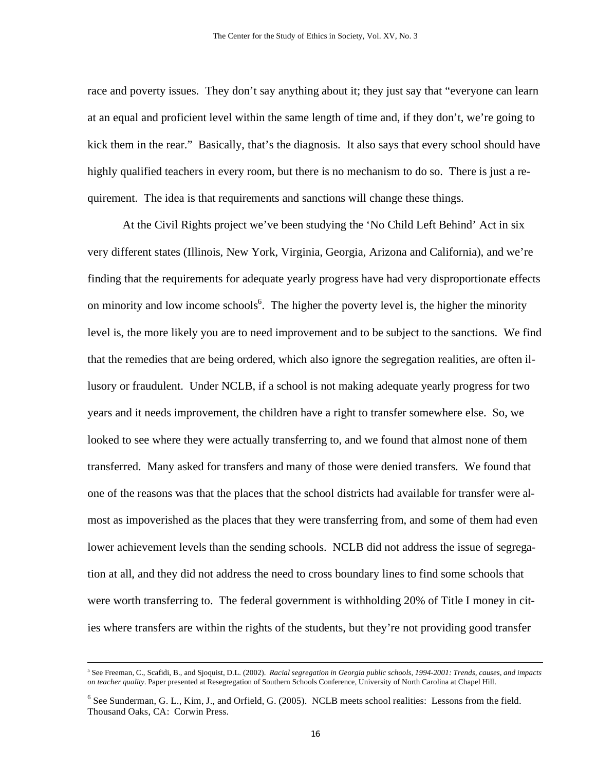race and poverty issues. They don't say anything about it; they just say that "everyone can learn at an equal and proficient level within the same length of time and, if they don't, we're going to kick them in the rear." Basically, that's the diagnosis. It also says that every school should have highly qualified teachers in every room, but there is no mechanism to do so. There is just a requirement. The idea is that requirements and sanctions will change these things.

At the Civil Rights project we've been studying the 'No Child Left Behind' Act in six very different states (Illinois, New York, Virginia, Georgia, Arizona and California), and we're finding that the requirements for adequate yearly progress have had very disproportionate effects on minority and low income schools<sup>6</sup>. The higher the poverty level is, the higher the minority level is, the more likely you are to need improvement and to be subject to the sanctions. We find that the remedies that are being ordered, which also ignore the segregation realities, are often illusory or fraudulent. Under NCLB, if a school is not making adequate yearly progress for two years and it needs improvement, the children have a right to transfer somewhere else. So, we looked to see where they were actually transferring to, and we found that almost none of them transferred. Many asked for transfers and many of those were denied transfers. We found that one of the reasons was that the places that the school districts had available for transfer were almost as impoverished as the places that they were transferring from, and some of them had even lower achievement levels than the sending schools. NCLB did not address the issue of segregation at all, and they did not address the need to cross boundary lines to find some schools that were worth transferring to. The federal government is withholding 20% of Title I money in cities where transfers are within the rights of the students, but they're not providing good transfer

 <sup>5</sup> See Freeman, C., Scafidi, B., and Sjoquist, D.L. (2002). *Racial segregation in Georgia public schools, 1994-2001: Trends, causes, and impacts on teacher quality*. Paper presented at Resegregation of Southern Schools Conference, University of North Carolina at Chapel Hill.

<sup>&</sup>lt;sup>6</sup> See Sunderman, G. L., Kim, J., and Orfield, G. (2005). NCLB meets school realities: Lessons from the field. Thousand Oaks, CA: Corwin Press.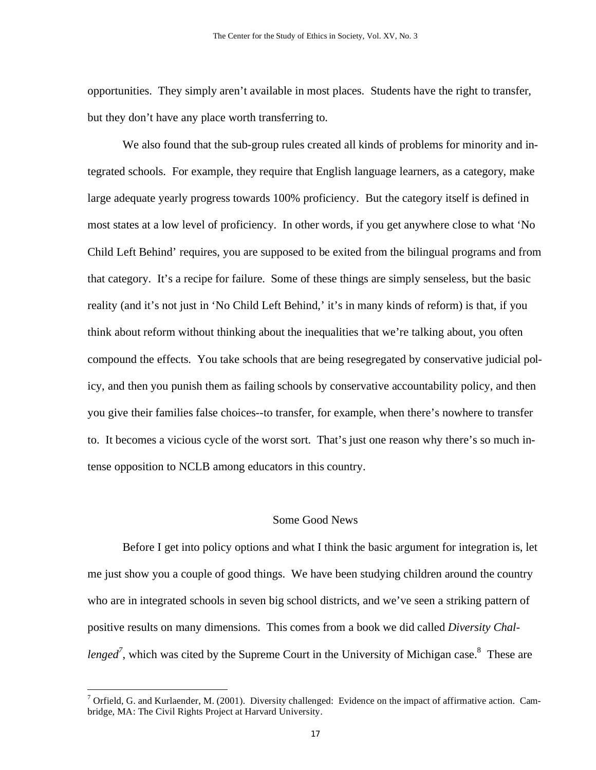opportunities. They simply aren't available in most places. Students have the right to transfer, but they don't have any place worth transferring to.

We also found that the sub-group rules created all kinds of problems for minority and integrated schools. For example, they require that English language learners, as a category, make large adequate yearly progress towards 100% proficiency. But the category itself is defined in most states at a low level of proficiency. In other words, if you get anywhere close to what 'No Child Left Behind' requires, you are supposed to be exited from the bilingual programs and from that category. It's a recipe for failure. Some of these things are simply senseless, but the basic reality (and it's not just in 'No Child Left Behind,' it's in many kinds of reform) is that, if you think about reform without thinking about the inequalities that we're talking about, you often compound the effects. You take schools that are being resegregated by conservative judicial policy, and then you punish them as failing schools by conservative accountability policy, and then you give their families false choices--to transfer, for example, when there's nowhere to transfer to. It becomes a vicious cycle of the worst sort. That's just one reason why there's so much intense opposition to NCLB among educators in this country.

## Some Good News

Before I get into policy options and what I think the basic argument for integration is, let me just show you a couple of good things. We have been studying children around the country who are in integrated schools in seven big school districts, and we've seen a striking pattern of positive results on many dimensions. This comes from a book we did called *Diversity Chal*lenged<sup>7</sup>, which was cited by the Supreme Court in the University of Michigan case.<sup>8</sup> These are

<u>.</u>

<sup>&</sup>lt;sup>7</sup> Orfield, G. and Kurlaender, M. (2001). Diversity challenged: Evidence on the impact of affirmative action. Cambridge, MA: The Civil Rights Project at Harvard University.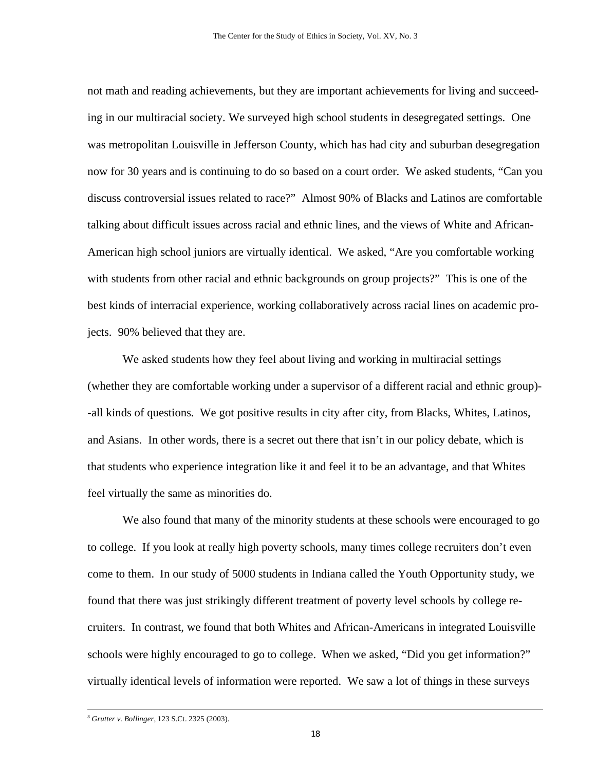not math and reading achievements, but they are important achievements for living and succeeding in our multiracial society. We surveyed high school students in desegregated settings. One was metropolitan Louisville in Jefferson County, which has had city and suburban desegregation now for 30 years and is continuing to do so based on a court order. We asked students, "Can you discuss controversial issues related to race?" Almost 90% of Blacks and Latinos are comfortable talking about difficult issues across racial and ethnic lines, and the views of White and African-American high school juniors are virtually identical. We asked, "Are you comfortable working with students from other racial and ethnic backgrounds on group projects?" This is one of the best kinds of interracial experience, working collaboratively across racial lines on academic projects. 90% believed that they are.

We asked students how they feel about living and working in multiracial settings (whether they are comfortable working under a supervisor of a different racial and ethnic group)- -all kinds of questions. We got positive results in city after city, from Blacks, Whites, Latinos, and Asians. In other words, there is a secret out there that isn't in our policy debate, which is that students who experience integration like it and feel it to be an advantage, and that Whites feel virtually the same as minorities do.

We also found that many of the minority students at these schools were encouraged to go to college. If you look at really high poverty schools, many times college recruiters don't even come to them. In our study of 5000 students in Indiana called the Youth Opportunity study, we found that there was just strikingly different treatment of poverty level schools by college recruiters. In contrast, we found that both Whites and African-Americans in integrated Louisville schools were highly encouraged to go to college. When we asked, "Did you get information?" virtually identical levels of information were reported. We saw a lot of things in these surveys

 <sup>8</sup> *Grutter v. Bollinger,* 123 S.Ct. 2325 (2003).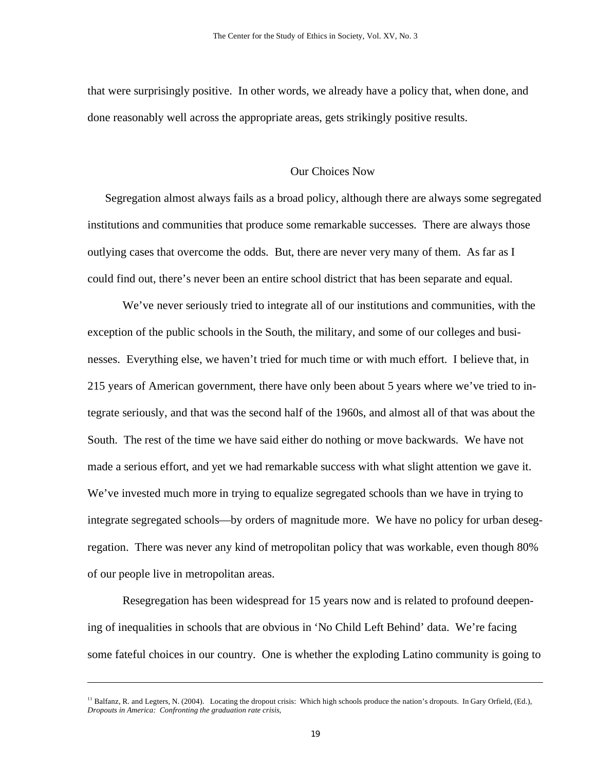that were surprisingly positive. In other words, we already have a policy that, when done, and done reasonably well across the appropriate areas, gets strikingly positive results.

## Our Choices Now

Segregation almost always fails as a broad policy, although there are always some segregated institutions and communities that produce some remarkable successes. There are always those outlying cases that overcome the odds. But, there are never very many of them. As far as I could find out, there's never been an entire school district that has been separate and equal.

We've never seriously tried to integrate all of our institutions and communities, with the exception of the public schools in the South, the military, and some of our colleges and businesses. Everything else, we haven't tried for much time or with much effort. I believe that, in 215 years of American government, there have only been about 5 years where we've tried to integrate seriously, and that was the second half of the 1960s, and almost all of that was about the South. The rest of the time we have said either do nothing or move backwards. We have not made a serious effort, and yet we had remarkable success with what slight attention we gave it. We've invested much more in trying to equalize segregated schools than we have in trying to integrate segregated schools—by orders of magnitude more. We have no policy for urban desegregation. There was never any kind of metropolitan policy that was workable, even though 80% of our people live in metropolitan areas.

Resegregation has been widespread for 15 years now and is related to profound deepening of inequalities in schools that are obvious in 'No Child Left Behind' data. We're facing some fateful choices in our country. One is whether the exploding Latino community is going to

 $\overline{a}$ 

<sup>&</sup>lt;sup>11</sup> Balfanz, R. and Legters, N. (2004). Locating the dropout crisis: Which high schools produce the nation's dropouts. In Gary Orfield, (Ed.), *Dropouts in America: Confronting the graduation rate crisis*,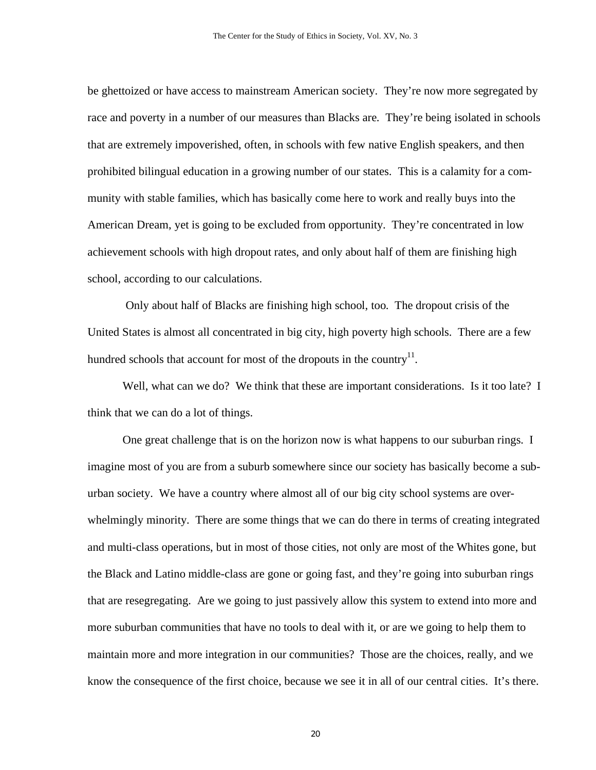be ghettoized or have access to mainstream American society. They're now more segregated by race and poverty in a number of our measures than Blacks are. They're being isolated in schools that are extremely impoverished, often, in schools with few native English speakers, and then prohibited bilingual education in a growing number of our states. This is a calamity for a community with stable families, which has basically come here to work and really buys into the American Dream, yet is going to be excluded from opportunity. They're concentrated in low achievement schools with high dropout rates, and only about half of them are finishing high school, according to our calculations.

 Only about half of Blacks are finishing high school, too. The dropout crisis of the United States is almost all concentrated in big city, high poverty high schools. There are a few hundred schools that account for most of the dropouts in the country<sup>11</sup>.

Well, what can we do? We think that these are important considerations. Is it too late? I think that we can do a lot of things.

One great challenge that is on the horizon now is what happens to our suburban rings. I imagine most of you are from a suburb somewhere since our society has basically become a suburban society. We have a country where almost all of our big city school systems are overwhelmingly minority. There are some things that we can do there in terms of creating integrated and multi-class operations, but in most of those cities, not only are most of the Whites gone, but the Black and Latino middle-class are gone or going fast, and they're going into suburban rings that are resegregating. Are we going to just passively allow this system to extend into more and more suburban communities that have no tools to deal with it, or are we going to help them to maintain more and more integration in our communities? Those are the choices, really, and we know the consequence of the first choice, because we see it in all of our central cities. It's there.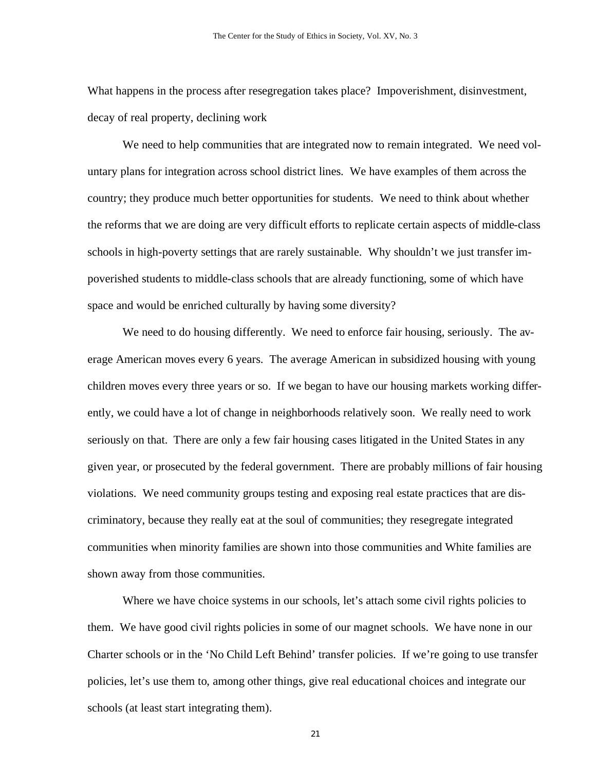What happens in the process after resegregation takes place? Impoverishment, disinvestment, decay of real property, declining work

We need to help communities that are integrated now to remain integrated. We need voluntary plans for integration across school district lines. We have examples of them across the country; they produce much better opportunities for students. We need to think about whether the reforms that we are doing are very difficult efforts to replicate certain aspects of middle-class schools in high-poverty settings that are rarely sustainable. Why shouldn't we just transfer impoverished students to middle-class schools that are already functioning, some of which have space and would be enriched culturally by having some diversity?

We need to do housing differently. We need to enforce fair housing, seriously. The average American moves every 6 years. The average American in subsidized housing with young children moves every three years or so. If we began to have our housing markets working differently, we could have a lot of change in neighborhoods relatively soon. We really need to work seriously on that. There are only a few fair housing cases litigated in the United States in any given year, or prosecuted by the federal government. There are probably millions of fair housing violations. We need community groups testing and exposing real estate practices that are discriminatory, because they really eat at the soul of communities; they resegregate integrated communities when minority families are shown into those communities and White families are shown away from those communities.

Where we have choice systems in our schools, let's attach some civil rights policies to them. We have good civil rights policies in some of our magnet schools. We have none in our Charter schools or in the 'No Child Left Behind' transfer policies. If we're going to use transfer policies, let's use them to, among other things, give real educational choices and integrate our schools (at least start integrating them).